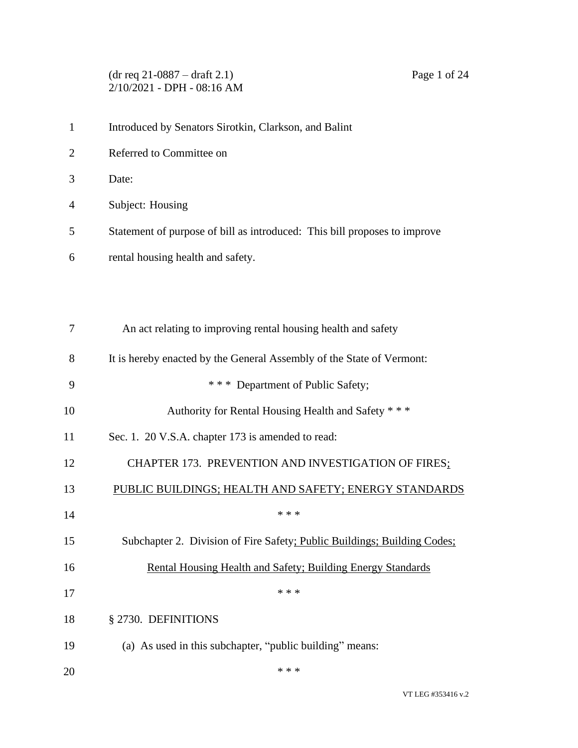(dr req 21-0887 – draft 2.1) Page 1 of 24 2/10/2021 - DPH - 08:16 AM

| $\mathbf{1}$   | Introduced by Senators Sirotkin, Clarkson, and Balint                     |
|----------------|---------------------------------------------------------------------------|
| $\overline{2}$ | Referred to Committee on                                                  |
| 3              | Date:                                                                     |
| 4              | Subject: Housing                                                          |
| 5              | Statement of purpose of bill as introduced: This bill proposes to improve |
| 6              | rental housing health and safety.                                         |
|                |                                                                           |
|                |                                                                           |
| 7              | An act relating to improving rental housing health and safety             |
| 8              | It is hereby enacted by the General Assembly of the State of Vermont:     |
| 9              | *** Department of Public Safety;                                          |
| 10             | Authority for Rental Housing Health and Safety * * *                      |
| 11             | Sec. 1. 20 V.S.A. chapter 173 is amended to read:                         |
| 12             | CHAPTER 173. PREVENTION AND INVESTIGATION OF FIRES;                       |
| 13             | PUBLIC BUILDINGS; HEALTH AND SAFETY; ENERGY STANDARDS                     |
| 14             | * * *                                                                     |
| 15             | Subchapter 2. Division of Fire Safety; Public Buildings; Building Codes;  |
| 16             | Rental Housing Health and Safety; Building Energy Standards               |
| 17             | * * *                                                                     |
| 18             | § 2730. DEFINITIONS                                                       |
| 19             | (a) As used in this subchapter, "public building" means:                  |
|                |                                                                           |

20  $***$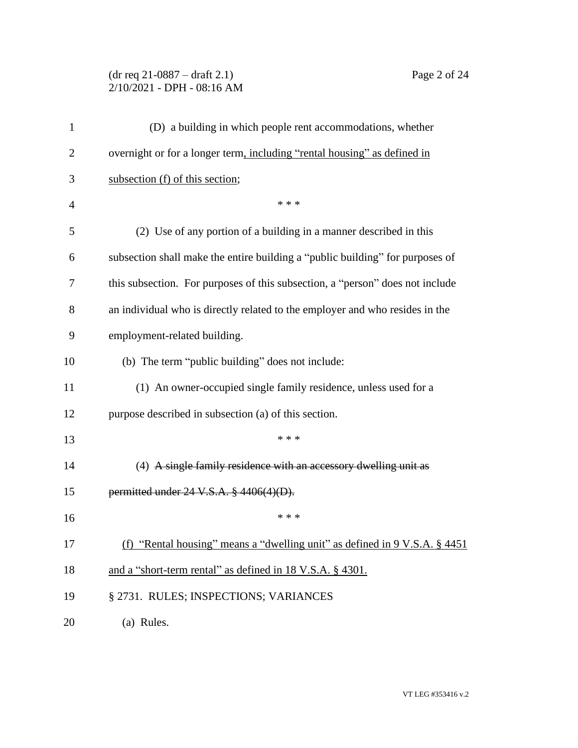# (dr req 21-0887 – draft 2.1) Page 2 of 24 2/10/2021 - DPH - 08:16 AM

| $\mathbf{1}$   | (D) a building in which people rent accommodations, whether                           |
|----------------|---------------------------------------------------------------------------------------|
| $\overline{2}$ | overnight or for a longer term, including "rental housing" as defined in              |
| 3              | subsection (f) of this section;                                                       |
| 4              | * * *                                                                                 |
| 5              | (2) Use of any portion of a building in a manner described in this                    |
| 6              | subsection shall make the entire building a "public building" for purposes of         |
| 7              | this subsection. For purposes of this subsection, a "person" does not include         |
| 8              | an individual who is directly related to the employer and who resides in the          |
| 9              | employment-related building.                                                          |
| 10             | (b) The term "public building" does not include:                                      |
| 11             | (1) An owner-occupied single family residence, unless used for a                      |
| 12             | purpose described in subsection (a) of this section.                                  |
| 13             | * * *                                                                                 |
| 14             | (4) A single family residence with an accessory dwelling unit as                      |
| 15             | permitted under 24 V.S.A. § 4406(4)(D).                                               |
| 16             | * * *                                                                                 |
| 17             | (f) "Rental housing" means a "dwelling unit" as defined in $9 \text{ V.S.A. }$ \$4451 |
| 18             | and a "short-term rental" as defined in 18 V.S.A. § 4301.                             |
| 19             | § 2731. RULES; INSPECTIONS; VARIANCES                                                 |
| 20             | (a) Rules.                                                                            |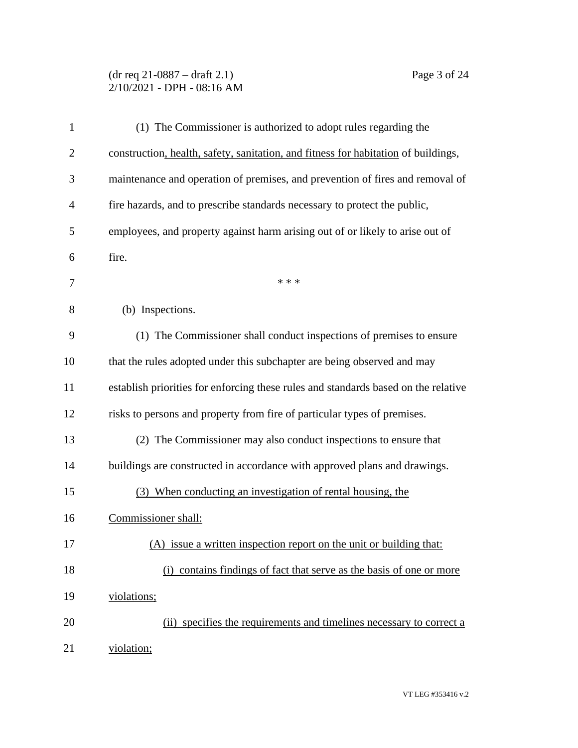# (dr req 21-0887 – draft 2.1) Page 3 of 24 2/10/2021 - DPH - 08:16 AM

| $\mathbf{1}$   | (1) The Commissioner is authorized to adopt rules regarding the                    |
|----------------|------------------------------------------------------------------------------------|
| $\overline{2}$ | construction, health, safety, sanitation, and fitness for habitation of buildings, |
| 3              | maintenance and operation of premises, and prevention of fires and removal of      |
| 4              | fire hazards, and to prescribe standards necessary to protect the public,          |
| 5              | employees, and property against harm arising out of or likely to arise out of      |
| 6              | fire.                                                                              |
| 7              | * * *                                                                              |
| 8              | (b) Inspections.                                                                   |
| 9              | (1) The Commissioner shall conduct inspections of premises to ensure               |
| 10             | that the rules adopted under this subchapter are being observed and may            |
| 11             | establish priorities for enforcing these rules and standards based on the relative |
| 12             | risks to persons and property from fire of particular types of premises.           |
| 13             | (2) The Commissioner may also conduct inspections to ensure that                   |
| 14             | buildings are constructed in accordance with approved plans and drawings.          |
| 15             | (3) When conducting an investigation of rental housing, the                        |
| 16             | Commissioner shall:                                                                |
| 17             | (A) issue a written inspection report on the unit or building that:                |
| 18             | (i) contains findings of fact that serve as the basis of one or more               |
| 19             | violations;                                                                        |
| 20             | (ii) specifies the requirements and timelines necessary to correct a               |
| 21             | violation;                                                                         |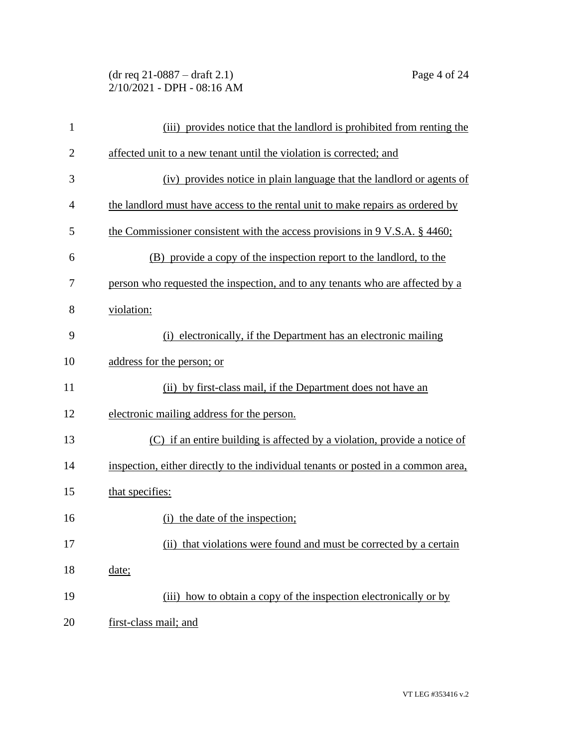# (dr req 21-0887 – draft 2.1) Page 4 of 24 2/10/2021 - DPH - 08:16 AM

| $\mathbf{1}$   | (iii) provides notice that the landlord is prohibited from renting the            |
|----------------|-----------------------------------------------------------------------------------|
| $\overline{2}$ | affected unit to a new tenant until the violation is corrected; and               |
| 3              | (iv) provides notice in plain language that the landlord or agents of             |
| 4              | the landlord must have access to the rental unit to make repairs as ordered by    |
| 5              | the Commissioner consistent with the access provisions in 9 V.S.A. § 4460;        |
| 6              | (B) provide a copy of the inspection report to the landlord, to the               |
| 7              | person who requested the inspection, and to any tenants who are affected by a     |
| 8              | violation:                                                                        |
| 9              | (i) electronically, if the Department has an electronic mailing                   |
| 10             | address for the person; or                                                        |
| 11             | (ii) by first-class mail, if the Department does not have an                      |
| 12             | electronic mailing address for the person.                                        |
| 13             | (C) if an entire building is affected by a violation, provide a notice of         |
| 14             | inspection, either directly to the individual tenants or posted in a common area, |
| 15             | that specifies:                                                                   |
| 16             | (i) the date of the inspection;                                                   |
| 17             | (ii) that violations were found and must be corrected by a certain                |
| 18             | date;                                                                             |
| 19             | (iii) how to obtain a copy of the inspection electronically or by                 |
| 20             | first-class mail; and                                                             |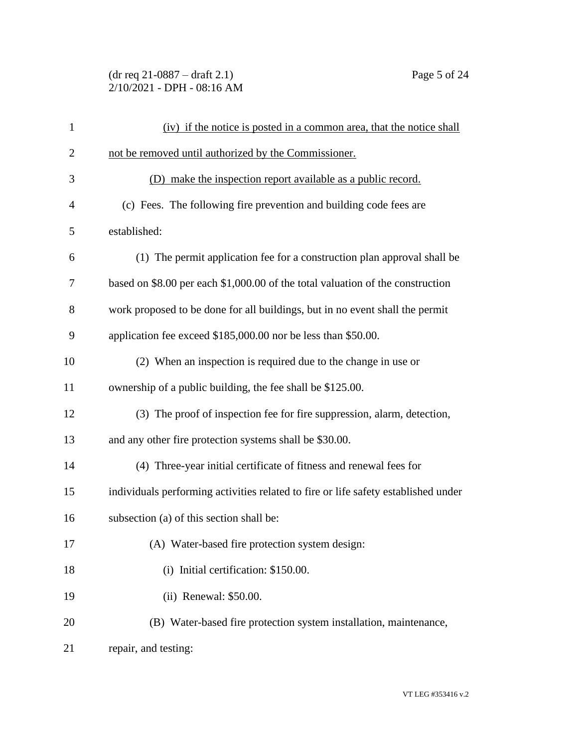# (dr req 21-0887 – draft 2.1) Page 5 of 24 2/10/2021 - DPH - 08:16 AM

| 1              | (iv) if the notice is posted in a common area, that the notice shall               |
|----------------|------------------------------------------------------------------------------------|
| $\overline{2}$ | not be removed until authorized by the Commissioner.                               |
| 3              | (D) make the inspection report available as a public record.                       |
| 4              | (c) Fees. The following fire prevention and building code fees are                 |
| 5              | established:                                                                       |
| 6              | (1) The permit application fee for a construction plan approval shall be           |
| 7              | based on \$8.00 per each \$1,000.00 of the total valuation of the construction     |
| 8              | work proposed to be done for all buildings, but in no event shall the permit       |
| 9              | application fee exceed \$185,000.00 nor be less than \$50.00.                      |
| 10             | (2) When an inspection is required due to the change in use or                     |
| 11             | ownership of a public building, the fee shall be \$125.00.                         |
| 12             | (3) The proof of inspection fee for fire suppression, alarm, detection,            |
| 13             | and any other fire protection systems shall be \$30.00.                            |
| 14             | (4) Three-year initial certificate of fitness and renewal fees for                 |
| 15             | individuals performing activities related to fire or life safety established under |
| 16             | subsection (a) of this section shall be:                                           |
| 17             | (A) Water-based fire protection system design:                                     |
| 18             | (i) Initial certification: \$150.00.                                               |
| 19             | (ii) Renewal: \$50.00.                                                             |
| 20             | (B) Water-based fire protection system installation, maintenance,                  |
| 21             | repair, and testing:                                                               |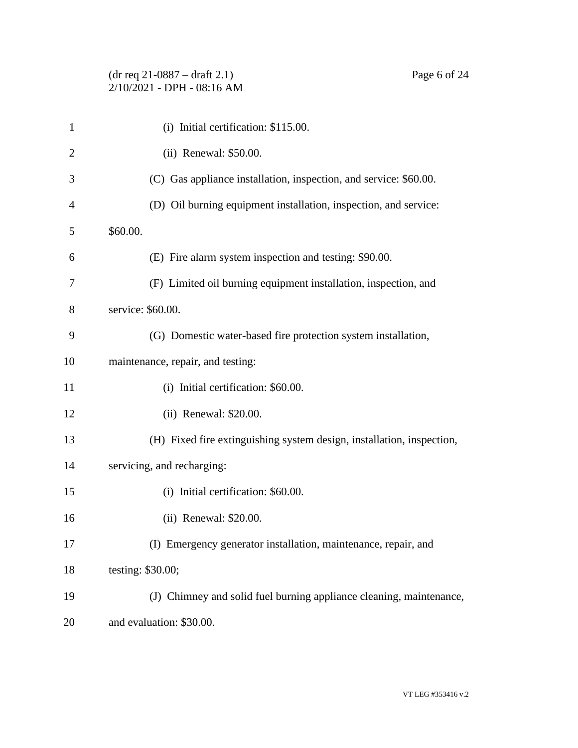# (dr req 21-0887 – draft 2.1) Page 6 of 24 2/10/2021 - DPH - 08:16 AM

| $\mathbf{1}$ | (i) Initial certification: \$115.00.                                  |
|--------------|-----------------------------------------------------------------------|
| 2            | (ii) Renewal: \$50.00.                                                |
| 3            | (C) Gas appliance installation, inspection, and service: \$60.00.     |
| 4            | (D) Oil burning equipment installation, inspection, and service:      |
| 5            | \$60.00.                                                              |
| 6            | (E) Fire alarm system inspection and testing: \$90.00.                |
| 7            | (F) Limited oil burning equipment installation, inspection, and       |
| 8            | service: \$60.00.                                                     |
| 9            | (G) Domestic water-based fire protection system installation,         |
| 10           | maintenance, repair, and testing:                                     |
| 11           | (i) Initial certification: \$60.00.                                   |
| 12           | (ii) Renewal: \$20.00.                                                |
| 13           | (H) Fixed fire extinguishing system design, installation, inspection, |
| 14           | servicing, and recharging:                                            |
| 15           | (i) Initial certification: \$60.00.                                   |
| 16           | (ii) Renewal: \$20.00.                                                |
| 17           | (I) Emergency generator installation, maintenance, repair, and        |
| 18           | testing: \$30.00;                                                     |
| 19           | (J) Chimney and solid fuel burning appliance cleaning, maintenance,   |
| 20           | and evaluation: \$30.00.                                              |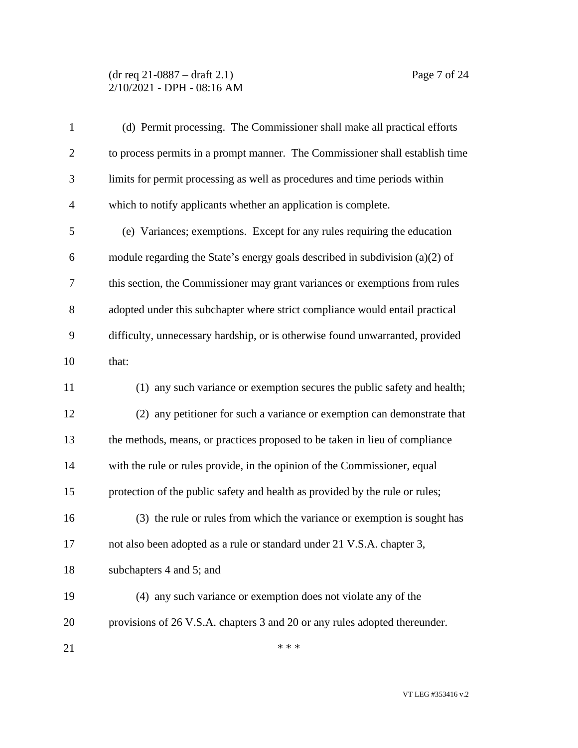#### (dr req 21-0887 – draft 2.1) Page 7 of 24 2/10/2021 - DPH - 08:16 AM

| $\mathbf{1}$   | (d) Permit processing. The Commissioner shall make all practical efforts       |
|----------------|--------------------------------------------------------------------------------|
| $\overline{2}$ | to process permits in a prompt manner. The Commissioner shall establish time   |
| 3              | limits for permit processing as well as procedures and time periods within     |
| $\overline{4}$ | which to notify applicants whether an application is complete.                 |
| 5              | (e) Variances; exemptions. Except for any rules requiring the education        |
| 6              | module regarding the State's energy goals described in subdivision $(a)(2)$ of |
| 7              | this section, the Commissioner may grant variances or exemptions from rules    |
| 8              | adopted under this subchapter where strict compliance would entail practical   |
| 9              | difficulty, unnecessary hardship, or is otherwise found unwarranted, provided  |
| 10             | that:                                                                          |
| 11             | (1) any such variance or exemption secures the public safety and health;       |
| 12             | (2) any petitioner for such a variance or exemption can demonstrate that       |
| 13             | the methods, means, or practices proposed to be taken in lieu of compliance    |
| 14             | with the rule or rules provide, in the opinion of the Commissioner, equal      |
| 15             | protection of the public safety and health as provided by the rule or rules;   |
| 16             | (3) the rule or rules from which the variance or exemption is sought has       |
| 17             | not also been adopted as a rule or standard under 21 V.S.A. chapter 3,         |
| 18             | subchapters 4 and 5; and                                                       |
| 19             | (4) any such variance or exemption does not violate any of the                 |
| 20             | provisions of 26 V.S.A. chapters 3 and 20 or any rules adopted thereunder.     |
| 21             | * * *                                                                          |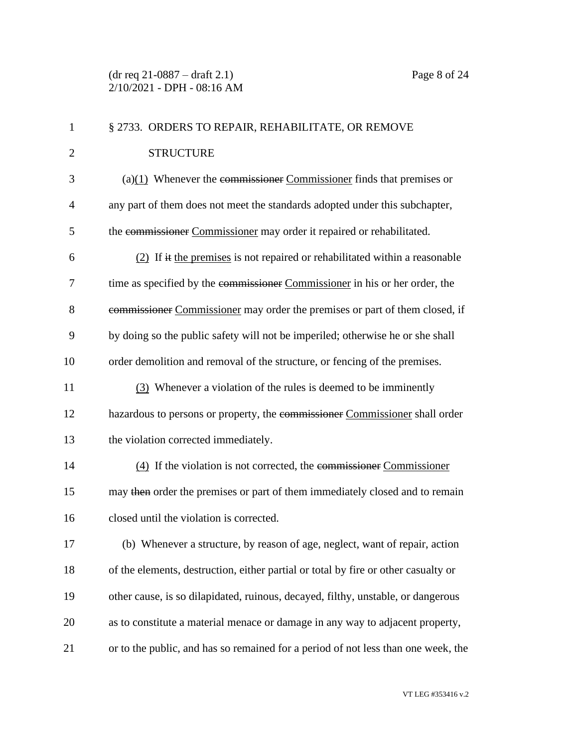| $\mathbf{1}$   | § 2733. ORDERS TO REPAIR, REHABILITATE, OR REMOVE                                  |
|----------------|------------------------------------------------------------------------------------|
| $\overline{2}$ | <b>STRUCTURE</b>                                                                   |
| 3              | $(a)(1)$ Whenever the commissioner Commissioner finds that premises or             |
| $\overline{4}$ | any part of them does not meet the standards adopted under this subchapter,        |
| 5              | the commissioner Commissioner may order it repaired or rehabilitated.              |
| 6              | $(2)$ If it the premises is not repaired or rehabilitated within a reasonable      |
| 7              | time as specified by the commissioner Commissioner in his or her order, the        |
| 8              | commissioner Commissioner may order the premises or part of them closed, if        |
| 9              | by doing so the public safety will not be imperiled; otherwise he or she shall     |
| 10             | order demolition and removal of the structure, or fencing of the premises.         |
| 11             | (3) Whenever a violation of the rules is deemed to be imminently                   |
| 12             | hazardous to persons or property, the commissioner Commissioner shall order        |
| 13             | the violation corrected immediately.                                               |
| 14             | $(4)$ If the violation is not corrected, the commissioner Commissioner             |
| 15             | may then order the premises or part of them immediately closed and to remain       |
| 16             | closed until the violation is corrected.                                           |
| 17             | (b) Whenever a structure, by reason of age, neglect, want of repair, action        |
| 18             | of the elements, destruction, either partial or total by fire or other casualty or |
| 19             | other cause, is so dilapidated, ruinous, decayed, filthy, unstable, or dangerous   |
| 20             | as to constitute a material menace or damage in any way to adjacent property,      |
| 21             | or to the public, and has so remained for a period of not less than one week, the  |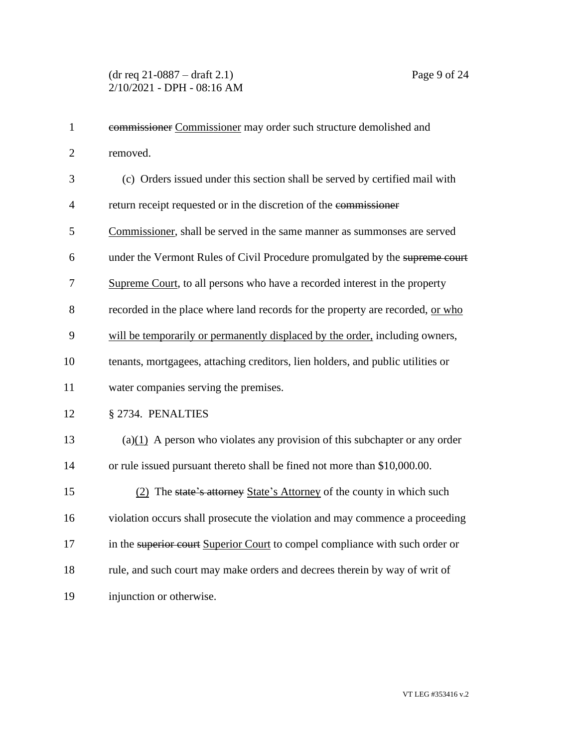| $\mathbf{1}$   | commissioner Commissioner may order such structure demolished and               |
|----------------|---------------------------------------------------------------------------------|
| $\overline{2}$ | removed.                                                                        |
| 3              | (c) Orders issued under this section shall be served by certified mail with     |
| $\overline{4}$ | return receipt requested or in the discretion of the commissioner               |
| 5              | Commissioner, shall be served in the same manner as summonses are served        |
| 6              | under the Vermont Rules of Civil Procedure promulgated by the supreme court     |
| $\overline{7}$ | Supreme Court, to all persons who have a recorded interest in the property      |
| 8              | recorded in the place where land records for the property are recorded, or who  |
| 9              | will be temporarily or permanently displaced by the order, including owners,    |
| 10             | tenants, mortgagees, attaching creditors, lien holders, and public utilities or |
| 11             | water companies serving the premises.                                           |
| 12             | § 2734. PENALTIES                                                               |
| 13             | $(a)(1)$ A person who violates any provision of this subchapter or any order    |
| 14             | or rule issued pursuant thereto shall be fined not more than \$10,000.00.       |
| 15             | (2) The state's attorney State's Attorney of the county in which such           |
| 16             | violation occurs shall prosecute the violation and may commence a proceeding    |
| 17             | in the superior court Superior Court to compel compliance with such order or    |
| 18             | rule, and such court may make orders and decrees therein by way of writ of      |
| 19             | injunction or otherwise.                                                        |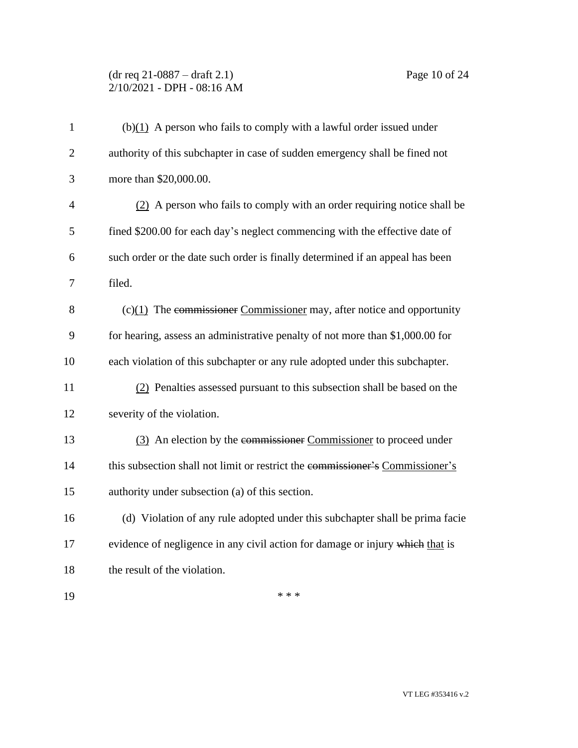# (dr req 21-0887 – draft 2.1) Page 10 of 24 2/10/2021 - DPH - 08:16 AM

| $\mathbf{1}$   | $(b)(1)$ A person who fails to comply with a lawful order issued under        |
|----------------|-------------------------------------------------------------------------------|
| $\overline{2}$ | authority of this subchapter in case of sudden emergency shall be fined not   |
| 3              | more than \$20,000.00.                                                        |
| $\overline{4}$ | (2) A person who fails to comply with an order requiring notice shall be      |
| 5              | fined \$200.00 for each day's neglect commencing with the effective date of   |
| 6              | such order or the date such order is finally determined if an appeal has been |
| 7              | filed.                                                                        |
| 8              | $(c)(1)$ The commissioner Commissioner may, after notice and opportunity      |
| 9              | for hearing, assess an administrative penalty of not more than \$1,000.00 for |
| 10             | each violation of this subchapter or any rule adopted under this subchapter.  |
| 11             | (2) Penalties assessed pursuant to this subsection shall be based on the      |
| 12             | severity of the violation.                                                    |
| 13             | (3) An election by the commissioner Commissioner to proceed under             |
| 14             | this subsection shall not limit or restrict the commissioner's Commissioner's |
| 15             | authority under subsection (a) of this section.                               |
| 16             | (d) Violation of any rule adopted under this subchapter shall be prima facie  |
| 17             | evidence of negligence in any civil action for damage or injury which that is |
| 18             | the result of the violation.                                                  |
| 19             | * * *                                                                         |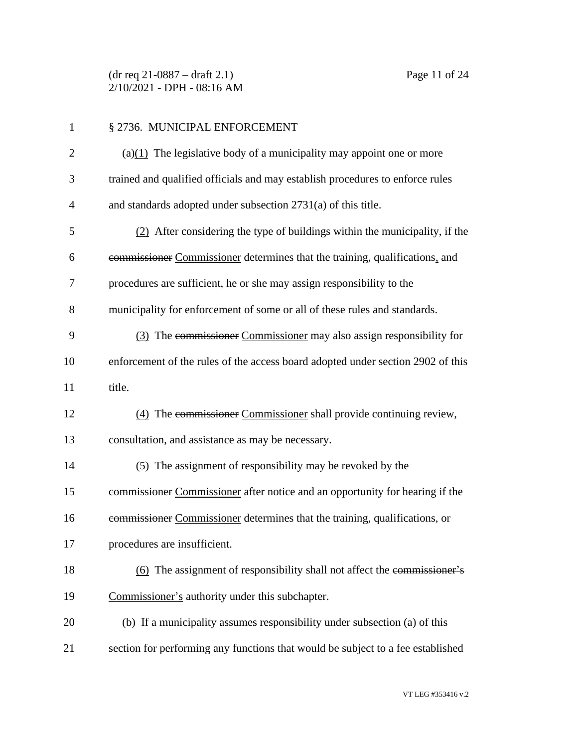(dr req 21-0887 – draft 2.1) Page 11 of 24 2/10/2021 - DPH - 08:16 AM

| 1              | § 2736. MUNICIPAL ENFORCEMENT                                                   |
|----------------|---------------------------------------------------------------------------------|
| $\overline{2}$ | (a) $(1)$ The legislative body of a municipality may appoint one or more        |
| 3              | trained and qualified officials and may establish procedures to enforce rules   |
| 4              | and standards adopted under subsection 2731(a) of this title.                   |
| 5              | (2) After considering the type of buildings within the municipality, if the     |
| 6              | commissioner Commissioner determines that the training, qualifications, and     |
| 7              | procedures are sufficient, he or she may assign responsibility to the           |
| 8              | municipality for enforcement of some or all of these rules and standards.       |
| 9              | (3) The commissioner Commissioner may also assign responsibility for            |
| 10             | enforcement of the rules of the access board adopted under section 2902 of this |
| 11             | title.                                                                          |
| 12             | (4) The commissioner Commissioner shall provide continuing review,              |
| 13             | consultation, and assistance as may be necessary.                               |
| 14             | (5) The assignment of responsibility may be revoked by the                      |
| 15             | commissioner Commissioner after notice and an opportunity for hearing if the    |
| 16             | commissioner Commissioner determines that the training, qualifications, or      |
| 17             | procedures are insufficient.                                                    |
| 18             | (6) The assignment of responsibility shall not affect the commissioner's        |
| 19             | Commissioner's authority under this subchapter.                                 |
| 20             | (b) If a municipality assumes responsibility under subsection (a) of this       |
| 21             | section for performing any functions that would be subject to a fee established |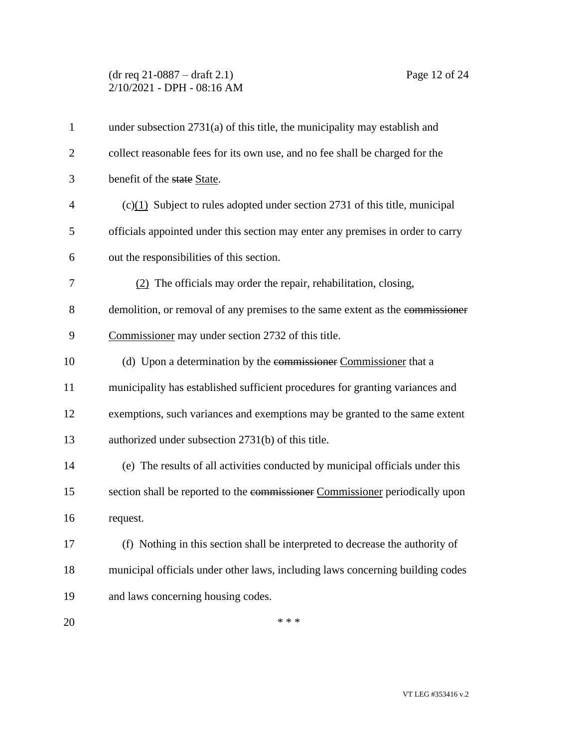# (dr req 21-0887 – draft 2.1) Page 12 of 24 2/10/2021 - DPH - 08:16 AM

| $\mathbf{1}$   | under subsection $2731(a)$ of this title, the municipality may establish and    |
|----------------|---------------------------------------------------------------------------------|
| 2              | collect reasonable fees for its own use, and no fee shall be charged for the    |
| 3              | benefit of the state State.                                                     |
| $\overline{4}$ | $(c)(1)$ Subject to rules adopted under section 2731 of this title, municipal   |
| 5              | officials appointed under this section may enter any premises in order to carry |
| 6              | out the responsibilities of this section.                                       |
| 7              | $(2)$ The officials may order the repair, rehabilitation, closing,              |
| 8              | demolition, or removal of any premises to the same extent as the commissioner   |
| 9              | Commissioner may under section 2732 of this title.                              |
| 10             | (d) Upon a determination by the commissioner Commissioner that a                |
| 11             | municipality has established sufficient procedures for granting variances and   |
| 12             | exemptions, such variances and exemptions may be granted to the same extent     |
| 13             | authorized under subsection 2731(b) of this title.                              |
| 14             | (e) The results of all activities conducted by municipal officials under this   |
| 15             | section shall be reported to the commissioner Commissioner periodically upon    |
| 16             | request.                                                                        |
| 17             | (f) Nothing in this section shall be interpreted to decrease the authority of   |
| 18             | municipal officials under other laws, including laws concerning building codes  |
| 19             | and laws concerning housing codes.                                              |
| 20             | * * *                                                                           |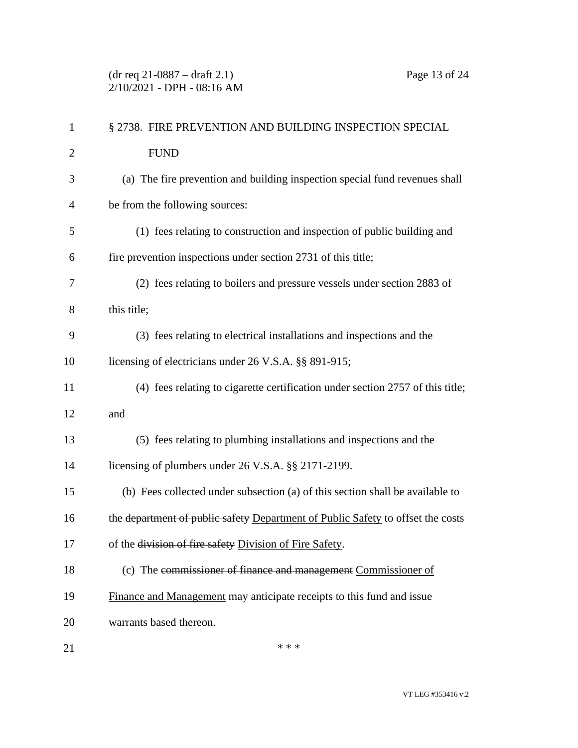| $\mathbf{1}$   | § 2738. FIRE PREVENTION AND BUILDING INSPECTION SPECIAL                         |
|----------------|---------------------------------------------------------------------------------|
| $\mathbf{2}$   | <b>FUND</b>                                                                     |
| 3              | (a) The fire prevention and building inspection special fund revenues shall     |
| $\overline{4}$ | be from the following sources:                                                  |
| 5              | (1) fees relating to construction and inspection of public building and         |
| 6              | fire prevention inspections under section 2731 of this title;                   |
| 7              | (2) fees relating to boilers and pressure vessels under section 2883 of         |
| 8              | this title;                                                                     |
| 9              | (3) fees relating to electrical installations and inspections and the           |
| 10             | licensing of electricians under 26 V.S.A. §§ 891-915;                           |
| 11             | (4) fees relating to cigarette certification under section 2757 of this title;  |
| 12             | and                                                                             |
| 13             | (5) fees relating to plumbing installations and inspections and the             |
| 14             | licensing of plumbers under 26 V.S.A. §§ 2171-2199.                             |
| 15             | (b) Fees collected under subsection (a) of this section shall be available to   |
| 16             | the department of public safety Department of Public Safety to offset the costs |
| 17             | of the division of fire safety Division of Fire Safety.                         |
| 18             | (c) The commissioner of finance and management Commissioner of                  |
| 19             | Finance and Management may anticipate receipts to this fund and issue           |
| 20             | warrants based thereon.                                                         |
| 21             | * * *                                                                           |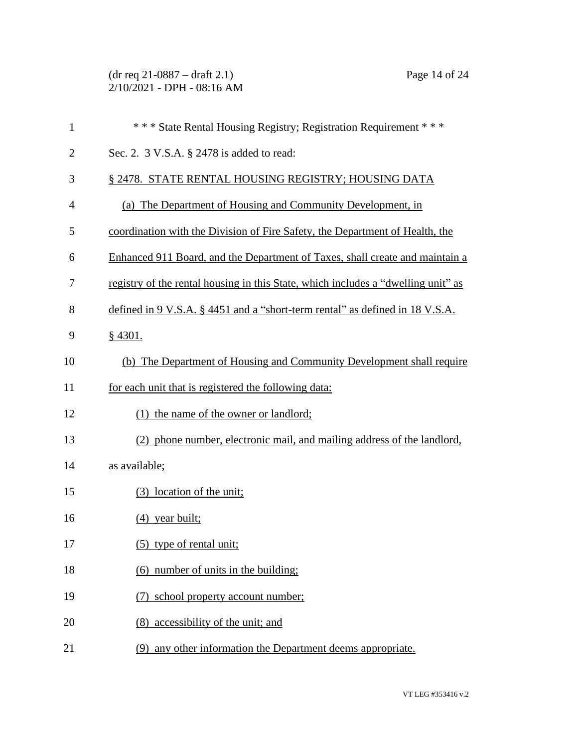(dr req 21-0887 – draft 2.1) Page 14 of 24 2/10/2021 - DPH - 08:16 AM

| $\mathbf{1}$   | *** State Rental Housing Registry; Registration Requirement ***                   |
|----------------|-----------------------------------------------------------------------------------|
| $\overline{2}$ | Sec. 2. 3 V.S.A. § 2478 is added to read:                                         |
| 3              | § 2478. STATE RENTAL HOUSING REGISTRY; HOUSING DATA                               |
| $\overline{4}$ | (a) The Department of Housing and Community Development, in                       |
| 5              | coordination with the Division of Fire Safety, the Department of Health, the      |
| 6              | Enhanced 911 Board, and the Department of Taxes, shall create and maintain a      |
| 7              | registry of the rental housing in this State, which includes a "dwelling unit" as |
| 8              | defined in 9 V.S.A. § 4451 and a "short-term rental" as defined in 18 V.S.A.      |
| 9              | $§$ 4301.                                                                         |
| 10             | (b) The Department of Housing and Community Development shall require             |
| 11             | for each unit that is registered the following data:                              |
| 12             | (1) the name of the owner or landlord;                                            |
| 13             | (2) phone number, electronic mail, and mailing address of the landlord,           |
| 14             | as available;                                                                     |
| 15             | (3) location of the unit;                                                         |
| 16             | $(4)$ year built;                                                                 |
| 17             | (5) type of rental unit;                                                          |
| 18             | (6) number of units in the building;                                              |
| 19             | (7) school property account number;                                               |
| 20             | (8) accessibility of the unit; and                                                |
| 21             | (9) any other information the Department deems appropriate.                       |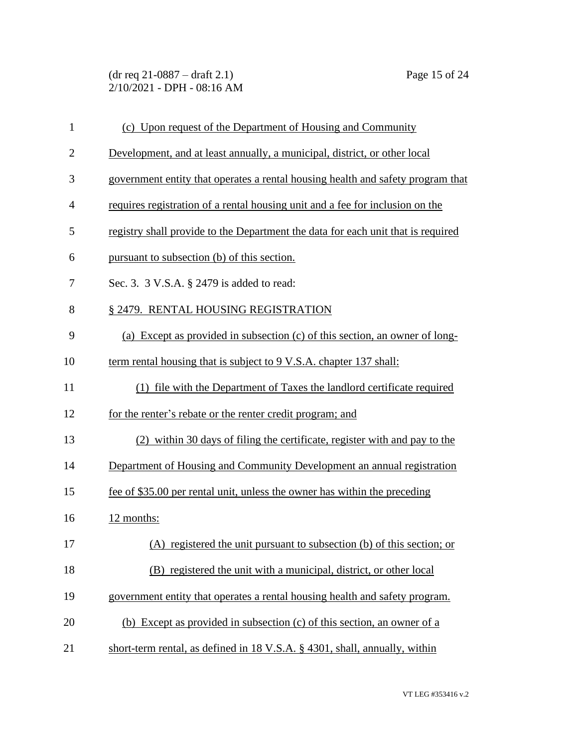(dr req 21-0887 – draft 2.1) Page 15 of 24 2/10/2021 - DPH - 08:16 AM

| $\mathbf{1}$   | (c) Upon request of the Department of Housing and Community                      |
|----------------|----------------------------------------------------------------------------------|
| $\overline{2}$ | Development, and at least annually, a municipal, district, or other local        |
| 3              | government entity that operates a rental housing health and safety program that  |
| $\overline{4}$ | requires registration of a rental housing unit and a fee for inclusion on the    |
| 5              | registry shall provide to the Department the data for each unit that is required |
| 6              | pursuant to subsection (b) of this section.                                      |
| 7              | Sec. 3. 3 V.S.A. § 2479 is added to read:                                        |
| 8              | § 2479. RENTAL HOUSING REGISTRATION                                              |
| 9              | (a) Except as provided in subsection (c) of this section, an owner of long-      |
| 10             | term rental housing that is subject to 9 V.S.A. chapter 137 shall:               |
| 11             | (1) file with the Department of Taxes the landlord certificate required          |
| 12             | for the renter's rebate or the renter credit program; and                        |
| 13             | (2) within 30 days of filing the certificate, register with and pay to the       |
| 14             | Department of Housing and Community Development an annual registration           |
| 15             | fee of \$35.00 per rental unit, unless the owner has within the preceding        |
| 16             | 12 months:                                                                       |
| 17             | (A) registered the unit pursuant to subsection (b) of this section; or           |
| 18             | (B) registered the unit with a municipal, district, or other local               |
| 19             | government entity that operates a rental housing health and safety program.      |
| 20             | (b) Except as provided in subsection (c) of this section, an owner of a          |
| 21             | short-term rental, as defined in 18 V.S.A. § 4301, shall, annually, within       |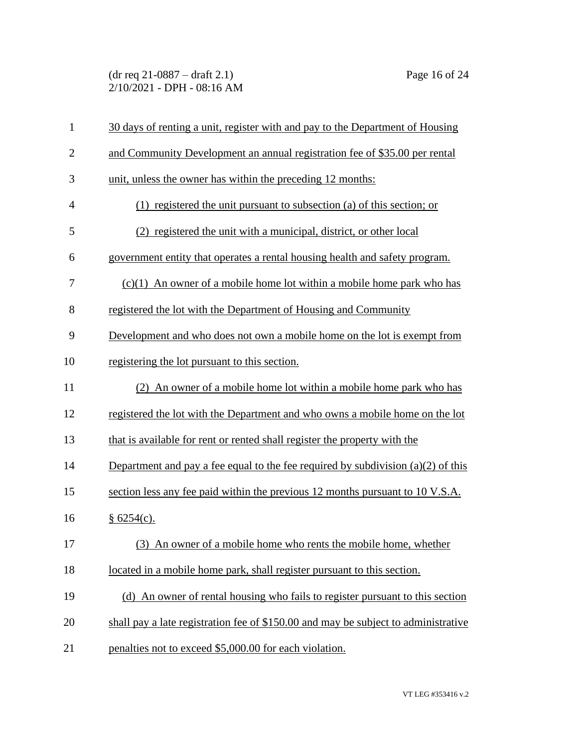(dr req 21-0887 – draft 2.1) Page 16 of 24 2/10/2021 - DPH - 08:16 AM

| $\mathbf{1}$   | 30 days of renting a unit, register with and pay to the Department of Housing      |
|----------------|------------------------------------------------------------------------------------|
| $\overline{2}$ | and Community Development an annual registration fee of \$35.00 per rental         |
| 3              | unit, unless the owner has within the preceding 12 months:                         |
| $\overline{4}$ | $(1)$ registered the unit pursuant to subsection (a) of this section; or           |
| 5              | (2) registered the unit with a municipal, district, or other local                 |
| 6              | government entity that operates a rental housing health and safety program.        |
| 7              | $(c)(1)$ An owner of a mobile home lot within a mobile home park who has           |
| 8              | registered the lot with the Department of Housing and Community                    |
| 9              | Development and who does not own a mobile home on the lot is exempt from           |
| 10             | registering the lot pursuant to this section.                                      |
| 11             | (2) An owner of a mobile home lot within a mobile home park who has                |
| 12             | registered the lot with the Department and who owns a mobile home on the lot       |
| 13             | that is available for rent or rented shall register the property with the          |
| 14             | Department and pay a fee equal to the fee required by subdivision $(a)(2)$ of this |
| 15             | section less any fee paid within the previous 12 months pursuant to 10 V.S.A.      |
| 16             | § 6254(c).                                                                         |
| 17             | (3) An owner of a mobile home who rents the mobile home, whether                   |
| 18             | located in a mobile home park, shall register pursuant to this section.            |
| 19             | (d) An owner of rental housing who fails to register pursuant to this section      |
| 20             | shall pay a late registration fee of \$150.00 and may be subject to administrative |
| 21             | penalties not to exceed \$5,000.00 for each violation.                             |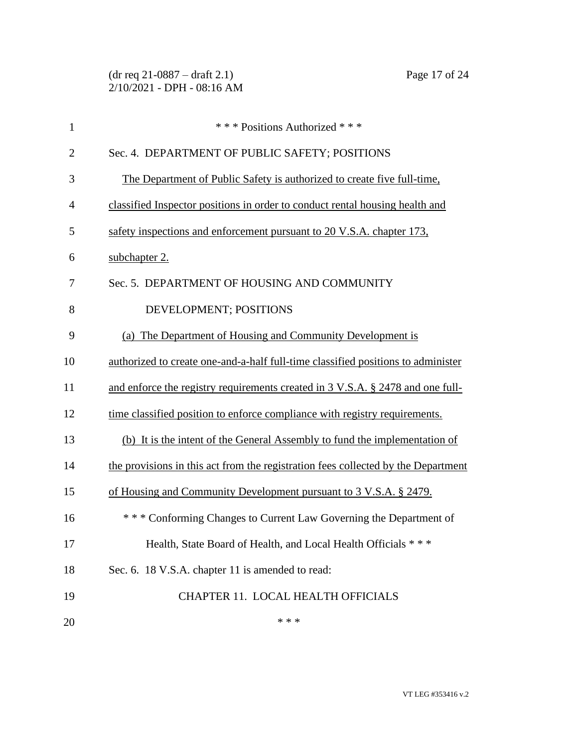| $\mathbf{1}$   | *** Positions Authorized ***                                                      |
|----------------|-----------------------------------------------------------------------------------|
| $\overline{2}$ | Sec. 4. DEPARTMENT OF PUBLIC SAFETY; POSITIONS                                    |
| 3              | The Department of Public Safety is authorized to create five full-time,           |
| $\overline{4}$ | classified Inspector positions in order to conduct rental housing health and      |
| 5              | safety inspections and enforcement pursuant to 20 V.S.A. chapter 173,             |
| 6              | subchapter 2.                                                                     |
| 7              | Sec. 5. DEPARTMENT OF HOUSING AND COMMUNITY                                       |
| 8              | DEVELOPMENT; POSITIONS                                                            |
| 9              | (a) The Department of Housing and Community Development is                        |
| 10             | authorized to create one-and-a-half full-time classified positions to administer  |
| 11             | and enforce the registry requirements created in 3 V.S.A. § 2478 and one full-    |
| 12             | time classified position to enforce compliance with registry requirements.        |
| 13             | (b) It is the intent of the General Assembly to fund the implementation of        |
| 14             | the provisions in this act from the registration fees collected by the Department |
| 15             | of Housing and Community Development pursuant to 3 V.S.A. § 2479.                 |
| 16             | * * * Conforming Changes to Current Law Governing the Department of               |
| 17             | Health, State Board of Health, and Local Health Officials ***                     |
| 18             | Sec. 6. 18 V.S.A. chapter 11 is amended to read:                                  |
| 19             | CHAPTER 11. LOCAL HEALTH OFFICIALS                                                |
| 20             | * * *                                                                             |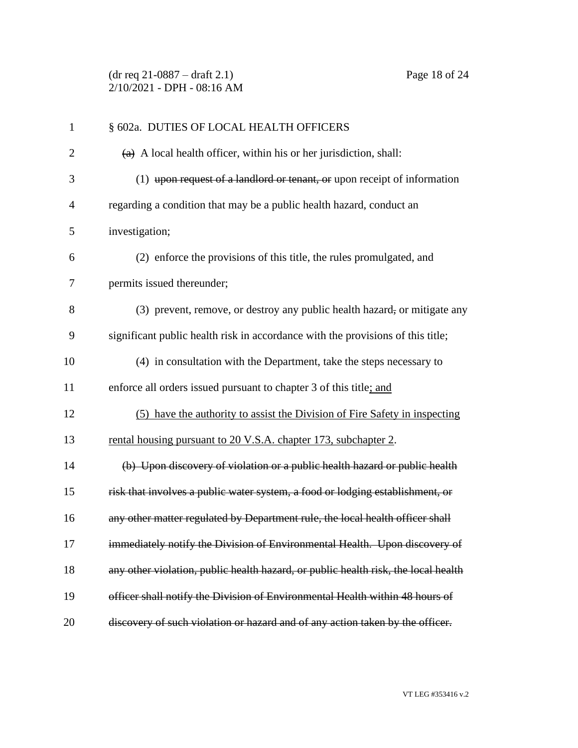(dr req 21-0887 – draft 2.1) Page 18 of 24 2/10/2021 - DPH - 08:16 AM

| $\mathbf{1}$   | § 602a. DUTIES OF LOCAL HEALTH OFFICERS                                            |
|----------------|------------------------------------------------------------------------------------|
| $\overline{2}$ | $(a)$ A local health officer, within his or her jurisdiction, shall:               |
| 3              | $(1)$ upon request of a landlord or tenant, or upon receipt of information         |
| $\overline{4}$ | regarding a condition that may be a public health hazard, conduct an               |
| 5              | investigation;                                                                     |
| 6              | (2) enforce the provisions of this title, the rules promulgated, and               |
| 7              | permits issued thereunder;                                                         |
| 8              | (3) prevent, remove, or destroy any public health hazard, or mitigate any          |
| 9              | significant public health risk in accordance with the provisions of this title;    |
| 10             | (4) in consultation with the Department, take the steps necessary to               |
| 11             | enforce all orders issued pursuant to chapter 3 of this title; and                 |
| 12             | (5) have the authority to assist the Division of Fire Safety in inspecting         |
| 13             | rental housing pursuant to 20 V.S.A. chapter 173, subchapter 2.                    |
| 14             | (b) Upon discovery of violation or a public health hazard or public health         |
| 15             | risk that involves a public water system, a food or lodging establishment, or      |
| 16             | any other matter regulated by Department rule, the local health officer shall      |
| 17             | immediately notify the Division of Environmental Health. Upon discovery of         |
| 18             | any other violation, public health hazard, or public health risk, the local health |
| 19             | officer shall notify the Division of Environmental Health within 48 hours of       |
| 20             | discovery of such violation or hazard and of any action taken by the officer.      |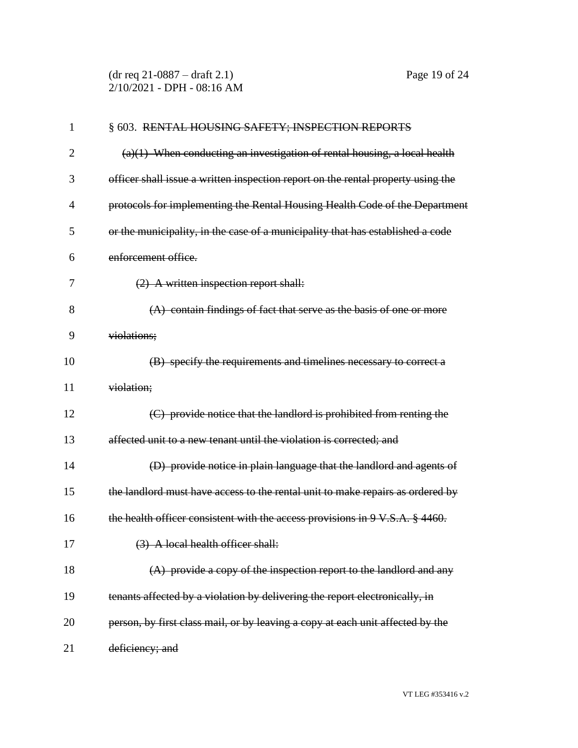(dr req 21-0887 – draft 2.1) Page 19 of 24 2/10/2021 - DPH - 08:16 AM

| $\mathbf{1}$   | § 603. RENTAL HOUSING SAFETY; INSPECTION REPORTS                                 |
|----------------|----------------------------------------------------------------------------------|
| 2              | $(a)(1)$ When conducting an investigation of rental housing, a local health      |
| 3              | officer shall issue a written inspection report on the rental property using the |
| $\overline{4}$ | protocols for implementing the Rental Housing Health Code of the Department      |
| 5              | or the municipality, in the case of a municipality that has established a code   |
| 6              | enforcement office.                                                              |
| 7              | $(2)$ A written inspection report shall:                                         |
| 8              | $(A)$ contain findings of fact that serve as the basis of one or more            |
| 9              | violations;                                                                      |
| 10             | (B) specify the requirements and timelines necessary to correct a                |
| 11             | violation;                                                                       |
| 12             | (C) provide notice that the landlord is prohibited from renting the              |
| 13             | affected unit to a new tenant until the violation is corrected; and              |
| 14             | (D) provide notice in plain language that the landlord and agents of             |
| 15             | the landlord must have access to the rental unit to make repairs as ordered by   |
| 16             | the health officer consistent with the access provisions in 9 V.S.A. § 4460.     |
| 17             | (3) A local health officer shall:                                                |
| 18             | $(A)$ provide a copy of the inspection report to the landlord and any            |
| 19             | tenants affected by a violation by delivering the report electronically, in      |
| 20             | person, by first class mail, or by leaving a copy at each unit affected by the   |
| 21             | deficiency; and                                                                  |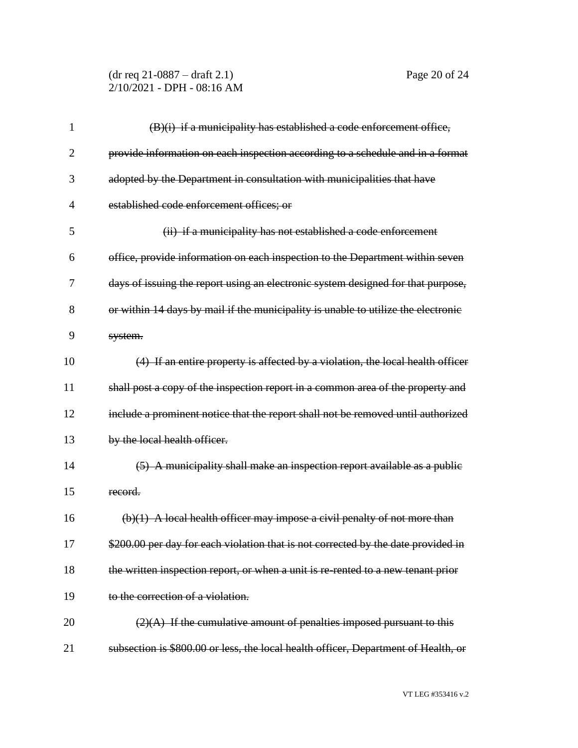(dr req 21-0887 – draft 2.1) Page 20 of 24 2/10/2021 - DPH - 08:16 AM

| 1              | (B)(i) if a municipality has established a code enforcement office,                |
|----------------|------------------------------------------------------------------------------------|
| $\overline{2}$ | provide information on each inspection according to a schedule and in a format     |
| 3              | adopted by the Department in consultation with municipalities that have            |
| $\overline{4}$ | established code enforcement offices; or                                           |
| 5              | (ii) if a municipality has not established a code enforcement                      |
| 6              | office, provide information on each inspection to the Department within seven      |
| 7              | days of issuing the report using an electronic system designed for that purpose,   |
| 8              | or within 14 days by mail if the municipality is unable to utilize the electronic  |
| 9              | system.                                                                            |
| 10             | (4) If an entire property is affected by a violation, the local health officer     |
| 11             | shall post a copy of the inspection report in a common area of the property and    |
| 12             | include a prominent notice that the report shall not be removed until authorized   |
| 13             | by the local health officer.                                                       |
| 14             | (5) A municipality shall make an inspection report available as a public           |
| 15             | record.                                                                            |
| 16             | $(b)(1)$ A local health officer may impose a civil penalty of not more than        |
| 17             | \$200.00 per day for each violation that is not corrected by the date provided in  |
| 18             | the written inspection report, or when a unit is re-rented to a new tenant prior   |
| 19             | to the correction of a violation.                                                  |
| 20             | $(2)(A)$ If the cumulative amount of penalties imposed pursuant to this            |
| 21             | subsection is \$800.00 or less, the local health officer, Department of Health, or |

VT LEG #353416 v.2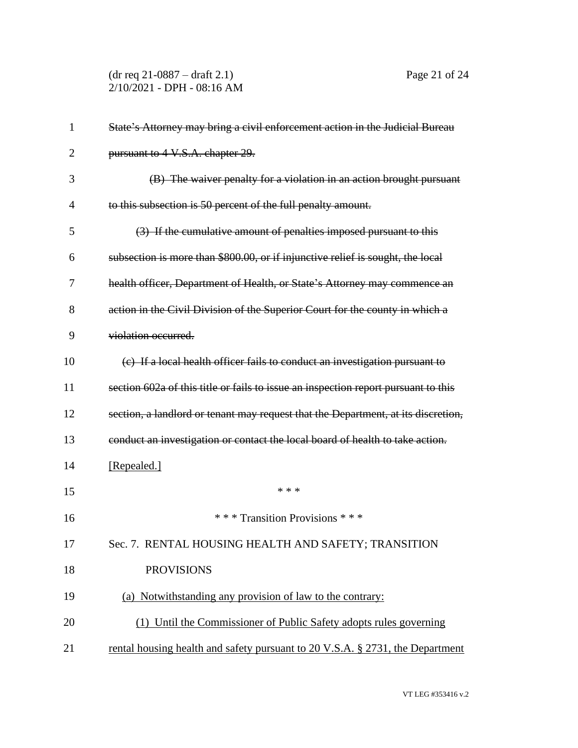(dr req 21-0887 – draft 2.1) Page 21 of 24 2/10/2021 - DPH - 08:16 AM

| 1              | State's Attorney may bring a civil enforcement action in the Judicial Bureau       |
|----------------|------------------------------------------------------------------------------------|
| $\overline{2}$ | pursuant to 4 V.S.A. chapter 29.                                                   |
| 3              | (B) The waiver penalty for a violation in an action brought pursuant               |
| $\overline{4}$ | to this subsection is 50 percent of the full penalty amount.                       |
| 5              | (3) If the cumulative amount of penalties imposed pursuant to this                 |
| 6              | subsection is more than \$800.00, or if injunctive relief is sought, the local     |
| 7              | health officer, Department of Health, or State's Attorney may commence an          |
| 8              | action in the Civil Division of the Superior Court for the county in which a       |
| 9              | violation occurred.                                                                |
| 10             | (c) If a local health officer fails to conduct an investigation pursuant to        |
| 11             | section 602a of this title or fails to issue an inspection report pursuant to this |
| 12             | section, a landlord or tenant may request that the Department, at its discretion,  |
| 13             | conduct an investigation or contact the local board of health to take action.      |
| 14             | [Repealed.]                                                                        |
| 15             | * * *                                                                              |
| 16             | *** Transition Provisions ***                                                      |
| 17             | Sec. 7. RENTAL HOUSING HEALTH AND SAFETY; TRANSITION                               |
| 18             | <b>PROVISIONS</b>                                                                  |
| 19             | (a) Notwithstanding any provision of law to the contrary:                          |
| 20             | (1) Until the Commissioner of Public Safety adopts rules governing                 |
| 21             | rental housing health and safety pursuant to 20 V.S.A. § 2731, the Department      |

VT LEG #353416 v.2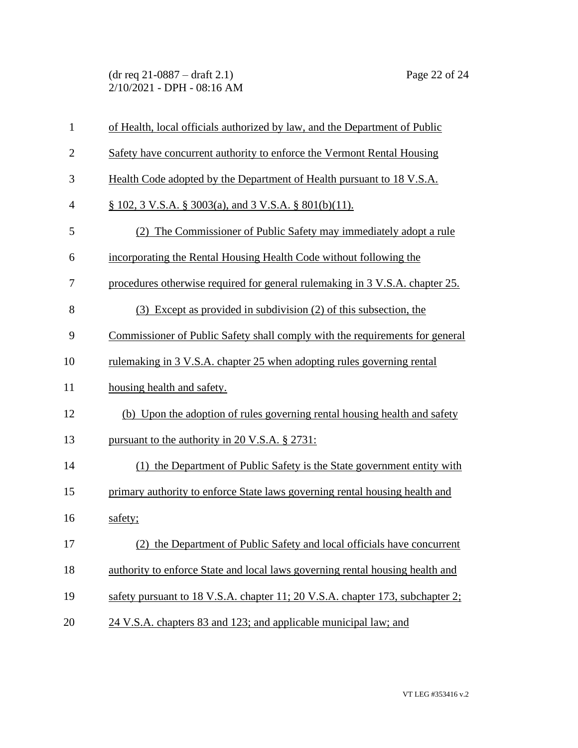(dr req 21-0887 – draft 2.1) Page 22 of 24 2/10/2021 - DPH - 08:16 AM

| $\mathbf{1}$   | of Health, local officials authorized by law, and the Department of Public    |
|----------------|-------------------------------------------------------------------------------|
| $\overline{2}$ | Safety have concurrent authority to enforce the Vermont Rental Housing        |
| 3              | Health Code adopted by the Department of Health pursuant to 18 V.S.A.         |
| $\overline{4}$ | $\S$ 102, 3 V.S.A. $\S$ 3003(a), and 3 V.S.A. $\S$ 801(b)(11).                |
| 5              | (2) The Commissioner of Public Safety may immediately adopt a rule            |
| 6              | incorporating the Rental Housing Health Code without following the            |
| $\tau$         | procedures otherwise required for general rulemaking in 3 V.S.A. chapter 25.  |
| 8              | (3) Except as provided in subdivision (2) of this subsection, the             |
| 9              | Commissioner of Public Safety shall comply with the requirements for general  |
| 10             | rulemaking in 3 V.S.A. chapter 25 when adopting rules governing rental        |
| 11             | housing health and safety.                                                    |
| 12             | (b) Upon the adoption of rules governing rental housing health and safety     |
| 13             | pursuant to the authority in 20 V.S.A. § 2731:                                |
| 14             | (1) the Department of Public Safety is the State government entity with       |
| 15             | primary authority to enforce State laws governing rental housing health and   |
| 16             | safety;                                                                       |
| 17             | (2) the Department of Public Safety and local officials have concurrent       |
| 18             | authority to enforce State and local laws governing rental housing health and |
| 19             | safety pursuant to 18 V.S.A. chapter 11; 20 V.S.A. chapter 173, subchapter 2; |
| 20             | 24 V.S.A. chapters 83 and 123; and applicable municipal law; and              |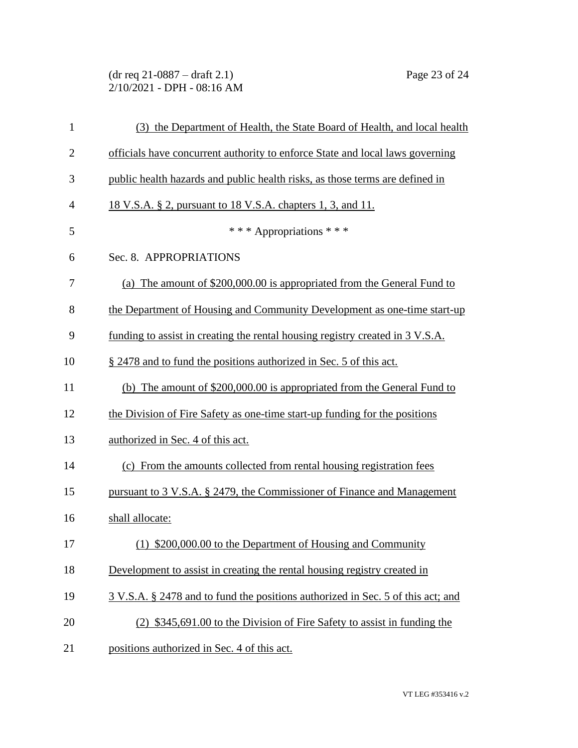### (dr req 21-0887 – draft 2.1) Page 23 of 24 2/10/2021 - DPH - 08:16 AM

| $\mathbf{1}$   | (3) the Department of Health, the State Board of Health, and local health       |
|----------------|---------------------------------------------------------------------------------|
| $\overline{2}$ | officials have concurrent authority to enforce State and local laws governing   |
| 3              | public health hazards and public health risks, as those terms are defined in    |
| 4              | <u>18 V.S.A. § 2, pursuant to 18 V.S.A. chapters 1, 3, and 11.</u>              |
| 5              | *** Appropriations ***                                                          |
| 6              | Sec. 8. APPROPRIATIONS                                                          |
| 7              | (a) The amount of \$200,000.00 is appropriated from the General Fund to         |
| 8              | the Department of Housing and Community Development as one-time start-up        |
| 9              | funding to assist in creating the rental housing registry created in 3 V.S.A.   |
| 10             | § 2478 and to fund the positions authorized in Sec. 5 of this act.              |
| 11             | (b) The amount of \$200,000.00 is appropriated from the General Fund to         |
| 12             | the Division of Fire Safety as one-time start-up funding for the positions      |
| 13             | authorized in Sec. 4 of this act.                                               |
| 14             | (c) From the amounts collected from rental housing registration fees            |
| 15             | pursuant to 3 V.S.A. § 2479, the Commissioner of Finance and Management         |
| 16             | shall allocate:                                                                 |
| 17             | (1) \$200,000.00 to the Department of Housing and Community                     |
| 18             | Development to assist in creating the rental housing registry created in        |
| 19             | 3 V.S.A. § 2478 and to fund the positions authorized in Sec. 5 of this act; and |
| 20             | (2) \$345,691.00 to the Division of Fire Safety to assist in funding the        |
| 21             | positions authorized in Sec. 4 of this act.                                     |